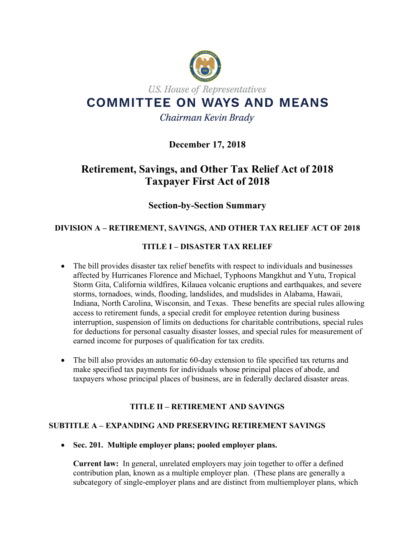

# **December 17, 2018**

# **Retirement, Savings, and Other Tax Relief Act of 2018 Taxpayer First Act of 2018**

# **Section-by-Section Summary**

## **DIVISION A – RETIREMENT, SAVINGS, AND OTHER TAX RELIEF ACT OF 2018**

## **TITLE I – DISASTER TAX RELIEF**

- The bill provides disaster tax relief benefits with respect to individuals and businesses affected by Hurricanes Florence and Michael, Typhoons Mangkhut and Yutu, Tropical Storm Gita, California wildfires, Kilauea volcanic eruptions and earthquakes, and severe storms, tornadoes, winds, flooding, landslides, and mudslides in Alabama, Hawaii, Indiana, North Carolina, Wisconsin, and Texas. These benefits are special rules allowing access to retirement funds, a special credit for employee retention during business interruption, suspension of limits on deductions for charitable contributions, special rules for deductions for personal casualty disaster losses, and special rules for measurement of earned income for purposes of qualification for tax credits.
- The bill also provides an automatic 60-day extension to file specified tax returns and make specified tax payments for individuals whose principal places of abode, and taxpayers whose principal places of business, are in federally declared disaster areas.

## **TITLE II – RETIREMENT AND SAVINGS**

## **SUBTITLE A – EXPANDING AND PRESERVING RETIREMENT SAVINGS**

• **Sec. 201. Multiple employer plans; pooled employer plans.**

**Current law:** In general, unrelated employers may join together to offer a defined contribution plan, known as a multiple employer plan. (These plans are generally a subcategory of single-employer plans and are distinct from multiemployer plans, which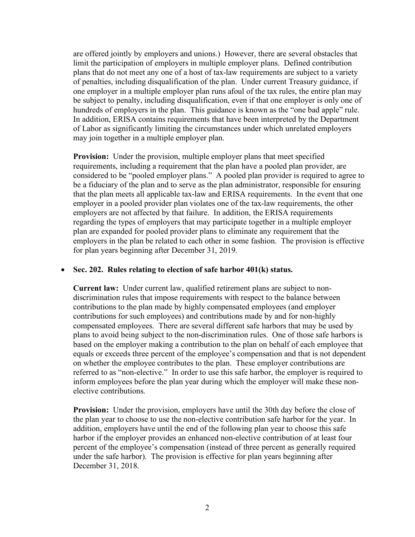are offered jointly by employers and unions.) However, there are several obstacles that limit the participation of employers in multiple employer plans. Defined contribution plans that do not meet any one of a host of tax-law requirements are subject to a variety of penalties, including disqualification of the plan. Under current Treasury guidance, if one employer in a multiple employer plan runs afoul of the tax rules, the entire plan may be subject to penalty, including disqualification, even if that one employer is only one of hundreds of employers in the plan. This guidance is known as the "one bad apple" rule. In addition, ERISA contains requirements that have been interpreted by the Department of Labor as significantly limiting the circumstances under which unrelated employers may join together in a multiple employer plan.

**Provision:** Under the provision, multiple employer plans that meet specified requirements, including a requirement that the plan have a pooled plan provider, are considered to be "pooled employer plans." A pooled plan provider is required to agree to be a fiduciary of the plan and to serve as the plan administrator, responsible for ensuring that the plan meets all applicable tax-law and ERISA requirements. In the event that one employer in a pooled provider plan violates one of the tax-law requirements, the other employers are not affected by that failure. In addition, the ERISA requirements regarding the types of employers that may participate together in a multiple employer plan are expanded for pooled provider plans to eliminate any requirement that the employers in the plan be related to each other in some fashion. The provision is effective for plan years beginning after December 31, 2019.

#### • **Sec. 202. Rules relating to election of safe harbor 401(k) status.**

**Current law:** Under current law, qualified retirement plans are subject to nondiscrimination rules that impose requirements with respect to the balance between contributions to the plan made by highly compensated employees (and employer contributions for such employees) and contributions made by and for non-highly compensated employees. There are several different safe harbors that may be used by plans to avoid being subject to the non-discrimination rules. One of those safe harbors is based on the employer making a contribution to the plan on behalf of each employee that equals or exceeds three percent of the employee's compensation and that is not dependent on whether the employee contributes to the plan. These employer contributions are referred to as "non-elective." In order to use this safe harbor, the employer is required to inform employees before the plan year during which the employer will make these nonelective contributions.

**Provision:** Under the provision, employers have until the 30th day before the close of the plan year to choose to use the non-elective contribution safe harbor for the year. In addition, employers have until the end of the following plan year to choose this safe harbor if the employer provides an enhanced non-elective contribution of at least four percent of the employee's compensation (instead of three percent as generally required under the safe harbor). The provision is effective for plan years beginning after December 31, 2018.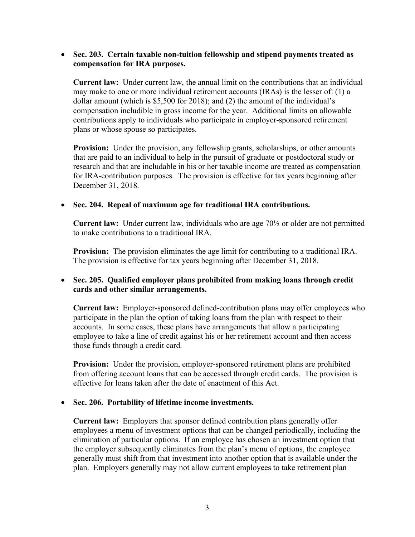#### • **Sec. 203. Certain taxable non-tuition fellowship and stipend payments treated as compensation for IRA purposes.**

**Current law:** Under current law, the annual limit on the contributions that an individual may make to one or more individual retirement accounts (IRAs) is the lesser of: (1) a dollar amount (which is \$5,500 for 2018); and (2) the amount of the individual's compensation includible in gross income for the year. Additional limits on allowable contributions apply to individuals who participate in employer-sponsored retirement plans or whose spouse so participates.

**Provision:** Under the provision, any fellowship grants, scholarships, or other amounts that are paid to an individual to help in the pursuit of graduate or postdoctoral study or research and that are includable in his or her taxable income are treated as compensation for IRA-contribution purposes. The provision is effective for tax years beginning after December 31, 2018.

#### • **Sec. 204. Repeal of maximum age for traditional IRA contributions.**

**Current law:** Under current law, individuals who are age 70½ or older are not permitted to make contributions to a traditional IRA.

**Provision:** The provision eliminates the age limit for contributing to a traditional IRA. The provision is effective for tax years beginning after December 31, 2018.

## • **Sec. 205. Qualified employer plans prohibited from making loans through credit cards and other similar arrangements.**

**Current law:** Employer-sponsored defined-contribution plans may offer employees who participate in the plan the option of taking loans from the plan with respect to their accounts. In some cases, these plans have arrangements that allow a participating employee to take a line of credit against his or her retirement account and then access those funds through a credit card.

**Provision:** Under the provision, employer-sponsored retirement plans are prohibited from offering account loans that can be accessed through credit cards. The provision is effective for loans taken after the date of enactment of this Act.

#### • **Sec. 206. Portability of lifetime income investments.**

**Current law:** Employers that sponsor defined contribution plans generally offer employees a menu of investment options that can be changed periodically, including the elimination of particular options. If an employee has chosen an investment option that the employer subsequently eliminates from the plan's menu of options, the employee generally must shift from that investment into another option that is available under the plan. Employers generally may not allow current employees to take retirement plan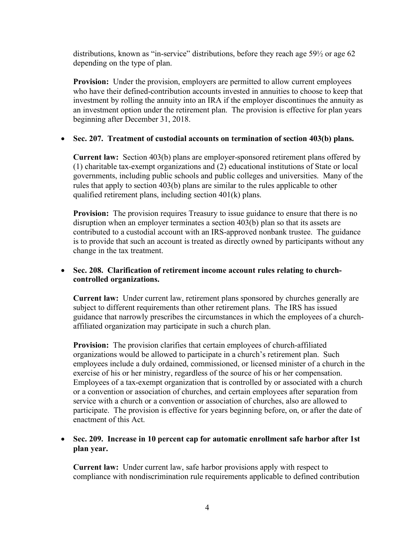distributions, known as "in-service" distributions, before they reach age 59½ or age 62 depending on the type of plan.

**Provision:** Under the provision, employers are permitted to allow current employees who have their defined-contribution accounts invested in annuities to choose to keep that investment by rolling the annuity into an IRA if the employer discontinues the annuity as an investment option under the retirement plan. The provision is effective for plan years beginning after December 31, 2018.

## • **Sec. 207. Treatment of custodial accounts on termination of section 403(b) plans.**

**Current law:** Section 403(b) plans are employer-sponsored retirement plans offered by (1) charitable tax-exempt organizations and (2) educational institutions of State or local governments, including public schools and public colleges and universities. Many of the rules that apply to section 403(b) plans are similar to the rules applicable to other qualified retirement plans, including section 401(k) plans.

**Provision:** The provision requires Treasury to issue guidance to ensure that there is no disruption when an employer terminates a section 403(b) plan so that its assets are contributed to a custodial account with an IRS-approved nonbank trustee. The guidance is to provide that such an account is treated as directly owned by participants without any change in the tax treatment.

## • **Sec. 208. Clarification of retirement income account rules relating to churchcontrolled organizations.**

**Current law:** Under current law, retirement plans sponsored by churches generally are subject to different requirements than other retirement plans. The IRS has issued guidance that narrowly prescribes the circumstances in which the employees of a churchaffiliated organization may participate in such a church plan.

**Provision:** The provision clarifies that certain employees of church-affiliated organizations would be allowed to participate in a church's retirement plan. Such employees include a duly ordained, commissioned, or licensed minister of a church in the exercise of his or her ministry, regardless of the source of his or her compensation. Employees of a tax-exempt organization that is controlled by or associated with a church or a convention or association of churches, and certain employees after separation from service with a church or a convention or association of churches, also are allowed to participate. The provision is effective for years beginning before, on, or after the date of enactment of this Act.

## • **Sec. 209. Increase in 10 percent cap for automatic enrollment safe harbor after 1st plan year.**

**Current law:** Under current law, safe harbor provisions apply with respect to compliance with nondiscrimination rule requirements applicable to defined contribution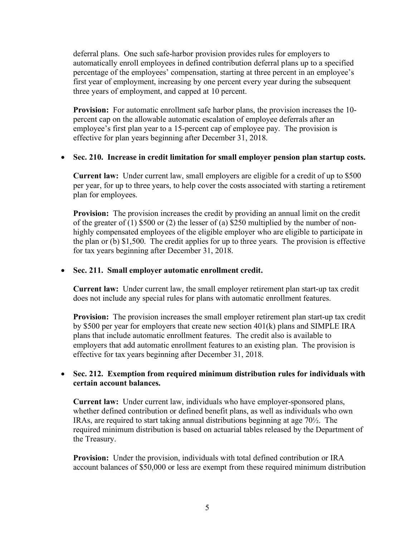deferral plans. One such safe-harbor provision provides rules for employers to automatically enroll employees in defined contribution deferral plans up to a specified percentage of the employees' compensation, starting at three percent in an employee's first year of employment, increasing by one percent every year during the subsequent three years of employment, and capped at 10 percent.

**Provision:** For automatic enrollment safe harbor plans, the provision increases the 10 percent cap on the allowable automatic escalation of employee deferrals after an employee's first plan year to a 15-percent cap of employee pay. The provision is effective for plan years beginning after December 31, 2018.

#### • **Sec. 210. Increase in credit limitation for small employer pension plan startup costs.**

**Current law:** Under current law, small employers are eligible for a credit of up to \$500 per year, for up to three years, to help cover the costs associated with starting a retirement plan for employees.

**Provision:** The provision increases the credit by providing an annual limit on the credit of the greater of (1) \$500 or (2) the lesser of (a) \$250 multiplied by the number of nonhighly compensated employees of the eligible employer who are eligible to participate in the plan or (b) \$1,500. The credit applies for up to three years. The provision is effective for tax years beginning after December 31, 2018.

#### • **Sec. 211. Small employer automatic enrollment credit.**

**Current law:** Under current law, the small employer retirement plan start-up tax credit does not include any special rules for plans with automatic enrollment features.

**Provision:** The provision increases the small employer retirement plan start-up tax credit by \$500 per year for employers that create new section 401(k) plans and SIMPLE IRA plans that include automatic enrollment features. The credit also is available to employers that add automatic enrollment features to an existing plan. The provision is effective for tax years beginning after December 31, 2018.

## • **Sec. 212. Exemption from required minimum distribution rules for individuals with certain account balances.**

**Current law:** Under current law, individuals who have employer-sponsored plans, whether defined contribution or defined benefit plans, as well as individuals who own IRAs, are required to start taking annual distributions beginning at age 70½. The required minimum distribution is based on actuarial tables released by the Department of the Treasury.

**Provision:** Under the provision, individuals with total defined contribution or IRA account balances of \$50,000 or less are exempt from these required minimum distribution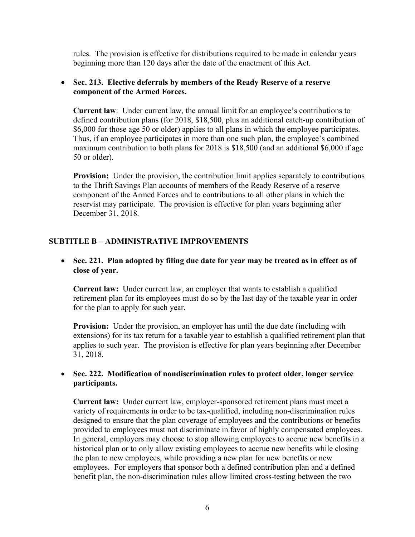rules. The provision is effective for distributions required to be made in calendar years beginning more than 120 days after the date of the enactment of this Act.

## • **Sec. 213. Elective deferrals by members of the Ready Reserve of a reserve component of the Armed Forces.**

**Current law**: Under current law, the annual limit for an employee's contributions to defined contribution plans (for 2018, \$18,500, plus an additional catch-up contribution of \$6,000 for those age 50 or older) applies to all plans in which the employee participates. Thus, if an employee participates in more than one such plan, the employee's combined maximum contribution to both plans for 2018 is \$18,500 (and an additional \$6,000 if age 50 or older).

**Provision:** Under the provision, the contribution limit applies separately to contributions to the Thrift Savings Plan accounts of members of the Ready Reserve of a reserve component of the Armed Forces and to contributions to all other plans in which the reservist may participate. The provision is effective for plan years beginning after December 31, 2018.

## **SUBTITLE B – ADMINISTRATIVE IMPROVEMENTS**

• **Sec. 221. Plan adopted by filing due date for year may be treated as in effect as of close of year.**

**Current law:** Under current law, an employer that wants to establish a qualified retirement plan for its employees must do so by the last day of the taxable year in order for the plan to apply for such year.

**Provision:** Under the provision, an employer has until the due date (including with extensions) for its tax return for a taxable year to establish a qualified retirement plan that applies to such year. The provision is effective for plan years beginning after December 31, 2018.

## • **Sec. 222. Modification of nondiscrimination rules to protect older, longer service participants.**

**Current law:** Under current law, employer-sponsored retirement plans must meet a variety of requirements in order to be tax-qualified, including non-discrimination rules designed to ensure that the plan coverage of employees and the contributions or benefits provided to employees must not discriminate in favor of highly compensated employees. In general, employers may choose to stop allowing employees to accrue new benefits in a historical plan or to only allow existing employees to accrue new benefits while closing the plan to new employees, while providing a new plan for new benefits or new employees. For employers that sponsor both a defined contribution plan and a defined benefit plan, the non-discrimination rules allow limited cross-testing between the two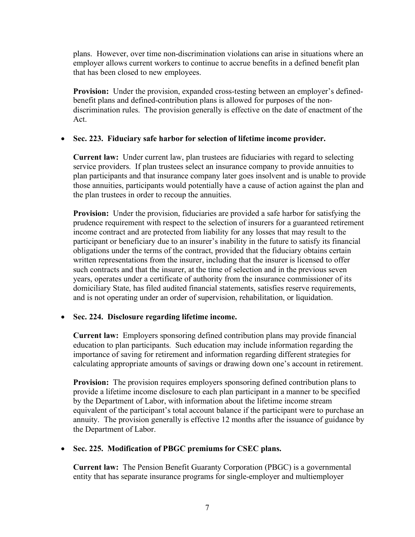plans. However, over time non-discrimination violations can arise in situations where an employer allows current workers to continue to accrue benefits in a defined benefit plan that has been closed to new employees.

**Provision:** Under the provision, expanded cross-testing between an employer's definedbenefit plans and defined-contribution plans is allowed for purposes of the nondiscrimination rules. The provision generally is effective on the date of enactment of the Act.

## • **Sec. 223. Fiduciary safe harbor for selection of lifetime income provider.**

**Current law:** Under current law, plan trustees are fiduciaries with regard to selecting service providers. If plan trustees select an insurance company to provide annuities to plan participants and that insurance company later goes insolvent and is unable to provide those annuities, participants would potentially have a cause of action against the plan and the plan trustees in order to recoup the annuities.

**Provision:** Under the provision, fiduciaries are provided a safe harbor for satisfying the prudence requirement with respect to the selection of insurers for a guaranteed retirement income contract and are protected from liability for any losses that may result to the participant or beneficiary due to an insurer's inability in the future to satisfy its financial obligations under the terms of the contract, provided that the fiduciary obtains certain written representations from the insurer, including that the insurer is licensed to offer such contracts and that the insurer, at the time of selection and in the previous seven years, operates under a certificate of authority from the insurance commissioner of its domiciliary State, has filed audited financial statements, satisfies reserve requirements, and is not operating under an order of supervision, rehabilitation, or liquidation.

## • **Sec. 224. Disclosure regarding lifetime income.**

**Current law:** Employers sponsoring defined contribution plans may provide financial education to plan participants. Such education may include information regarding the importance of saving for retirement and information regarding different strategies for calculating appropriate amounts of savings or drawing down one's account in retirement.

**Provision:** The provision requires employers sponsoring defined contribution plans to provide a lifetime income disclosure to each plan participant in a manner to be specified by the Department of Labor, with information about the lifetime income stream equivalent of the participant's total account balance if the participant were to purchase an annuity. The provision generally is effective 12 months after the issuance of guidance by the Department of Labor.

## • **Sec. 225. Modification of PBGC premiums for CSEC plans.**

**Current law:** The Pension Benefit Guaranty Corporation (PBGC) is a governmental entity that has separate insurance programs for single-employer and multiemployer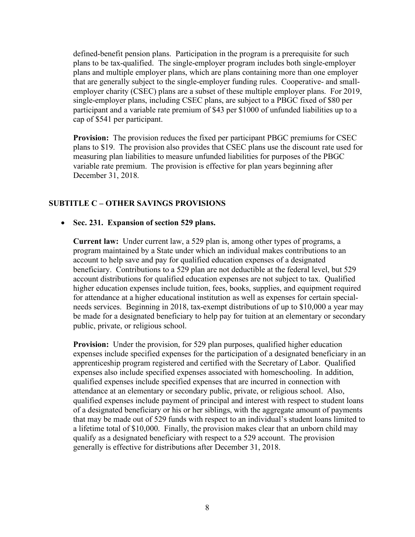defined-benefit pension plans. Participation in the program is a prerequisite for such plans to be tax-qualified. The single-employer program includes both single-employer plans and multiple employer plans, which are plans containing more than one employer that are generally subject to the single-employer funding rules. Cooperative- and smallemployer charity (CSEC) plans are a subset of these multiple employer plans. For 2019, single-employer plans, including CSEC plans, are subject to a PBGC fixed of \$80 per participant and a variable rate premium of \$43 per \$1000 of unfunded liabilities up to a cap of \$541 per participant.

**Provision:** The provision reduces the fixed per participant PBGC premiums for CSEC plans to \$19. The provision also provides that CSEC plans use the discount rate used for measuring plan liabilities to measure unfunded liabilities for purposes of the PBGC variable rate premium. The provision is effective for plan years beginning after December 31, 2018.

## **SUBTITLE C – OTHER SAVINGS PROVISIONS**

## • **Sec. 231. Expansion of section 529 plans.**

**Current law:** Under current law, a 529 plan is, among other types of programs, a program maintained by a State under which an individual makes contributions to an account to help save and pay for qualified education expenses of a designated beneficiary. Contributions to a 529 plan are not deductible at the federal level, but 529 account distributions for qualified education expenses are not subject to tax. Qualified higher education expenses include tuition, fees, books, supplies, and equipment required for attendance at a higher educational institution as well as expenses for certain specialneeds services. Beginning in 2018, tax-exempt distributions of up to \$10,000 a year may be made for a designated beneficiary to help pay for tuition at an elementary or secondary public, private, or religious school.

**Provision:** Under the provision, for 529 plan purposes, qualified higher education expenses include specified expenses for the participation of a designated beneficiary in an apprenticeship program registered and certified with the Secretary of Labor. Qualified expenses also include specified expenses associated with homeschooling. In addition, qualified expenses include specified expenses that are incurred in connection with attendance at an elementary or secondary public, private, or religious school. Also, qualified expenses include payment of principal and interest with respect to student loans of a designated beneficiary or his or her siblings, with the aggregate amount of payments that may be made out of 529 funds with respect to an individual's student loans limited to a lifetime total of \$10,000. Finally, the provision makes clear that an unborn child may qualify as a designated beneficiary with respect to a 529 account. The provision generally is effective for distributions after December 31, 2018.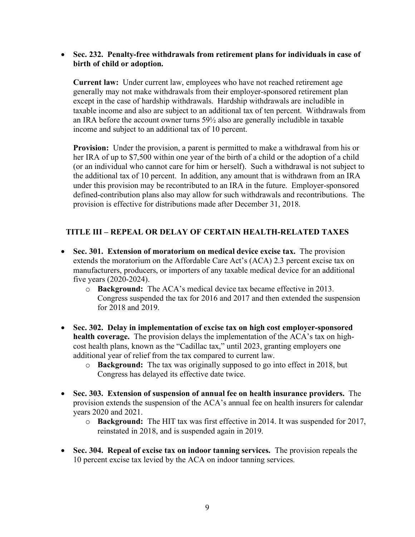#### • **Sec. 232. Penalty-free withdrawals from retirement plans for individuals in case of birth of child or adoption.**

**Current law:** Under current law, employees who have not reached retirement age generally may not make withdrawals from their employer-sponsored retirement plan except in the case of hardship withdrawals. Hardship withdrawals are includible in taxable income and also are subject to an additional tax of ten percent. Withdrawals from an IRA before the account owner turns 59½ also are generally includible in taxable income and subject to an additional tax of 10 percent.

**Provision:** Under the provision, a parent is permitted to make a withdrawal from his or her IRA of up to \$7,500 within one year of the birth of a child or the adoption of a child (or an individual who cannot care for him or herself). Such a withdrawal is not subject to the additional tax of 10 percent. In addition, any amount that is withdrawn from an IRA under this provision may be recontributed to an IRA in the future. Employer-sponsored defined-contribution plans also may allow for such withdrawals and recontributions. The provision is effective for distributions made after December 31, 2018.

## **TITLE III – REPEAL OR DELAY OF CERTAIN HEALTH-RELATED TAXES**

- **Sec. 301. Extension of moratorium on medical device excise tax.** The provision extends the moratorium on the Affordable Care Act's (ACA) 2.3 percent excise tax on manufacturers, producers, or importers of any taxable medical device for an additional five years (2020-2024).
	- o **Background:** The ACA's medical device tax became effective in 2013. Congress suspended the tax for 2016 and 2017 and then extended the suspension for 2018 and 2019.
- **Sec. 302. Delay in implementation of excise tax on high cost employer-sponsored health coverage.** The provision delays the implementation of the ACA's tax on highcost health plans, known as the "Cadillac tax," until 2023, granting employers one additional year of relief from the tax compared to current law.
	- o **Background:** The tax was originally supposed to go into effect in 2018, but Congress has delayed its effective date twice.
- **Sec. 303. Extension of suspension of annual fee on health insurance providers.** The provision extends the suspension of the ACA's annual fee on health insurers for calendar years 2020 and 2021.
	- o **Background:** The HIT tax was first effective in 2014. It was suspended for 2017, reinstated in 2018, and is suspended again in 2019.
- **Sec. 304. Repeal of excise tax on indoor tanning services.** The provision repeals the 10 percent excise tax levied by the ACA on indoor tanning services.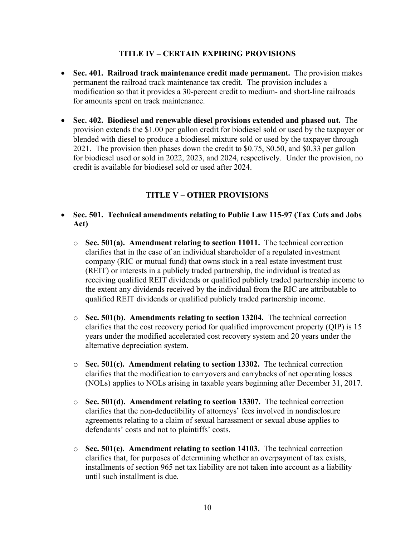## **TITLE IV – CERTAIN EXPIRING PROVISIONS**

- **Sec. 401. Railroad track maintenance credit made permanent.** The provision makes permanent the railroad track maintenance tax credit. The provision includes a modification so that it provides a 30-percent credit to medium- and short-line railroads for amounts spent on track maintenance.
- **Sec. 402. Biodiesel and renewable diesel provisions extended and phased out.** The provision extends the \$1.00 per gallon credit for biodiesel sold or used by the taxpayer or blended with diesel to produce a biodiesel mixture sold or used by the taxpayer through 2021. The provision then phases down the credit to \$0.75, \$0.50, and \$0.33 per gallon for biodiesel used or sold in 2022, 2023, and 2024, respectively. Under the provision, no credit is available for biodiesel sold or used after 2024.

## **TITLE V – OTHER PROVISIONS**

- **Sec. 501. Technical amendments relating to Public Law 115-97 (Tax Cuts and Jobs Act)**
	- o **Sec. 501(a). Amendment relating to section 11011.** The technical correction clarifies that in the case of an individual shareholder of a regulated investment company (RIC or mutual fund) that owns stock in a real estate investment trust (REIT) or interests in a publicly traded partnership, the individual is treated as receiving qualified REIT dividends or qualified publicly traded partnership income to the extent any dividends received by the individual from the RIC are attributable to qualified REIT dividends or qualified publicly traded partnership income.
	- o **Sec. 501(b). Amendments relating to section 13204.** The technical correction clarifies that the cost recovery period for qualified improvement property (QIP) is 15 years under the modified accelerated cost recovery system and 20 years under the alternative depreciation system.
	- o **Sec. 501(c). Amendment relating to section 13302.** The technical correction clarifies that the modification to carryovers and carrybacks of net operating losses (NOLs) applies to NOLs arising in taxable years beginning after December 31, 2017.
	- o **Sec. 501(d). Amendment relating to section 13307.** The technical correction clarifies that the non-deductibility of attorneys' fees involved in nondisclosure agreements relating to a claim of sexual harassment or sexual abuse applies to defendants' costs and not to plaintiffs' costs.
	- o **Sec. 501(e). Amendment relating to section 14103.** The technical correction clarifies that, for purposes of determining whether an overpayment of tax exists, installments of section 965 net tax liability are not taken into account as a liability until such installment is due.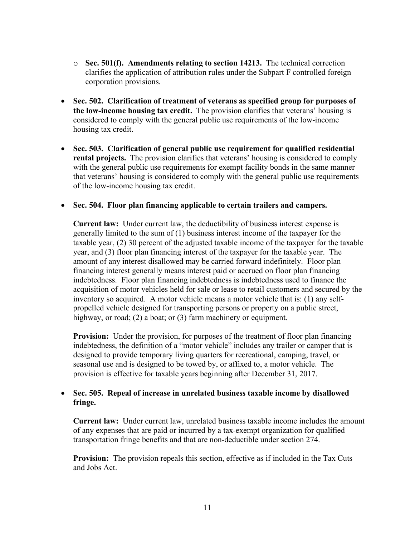- o **Sec. 501(f). Amendments relating to section 14213.** The technical correction clarifies the application of attribution rules under the Subpart F controlled foreign corporation provisions.
- **Sec. 502. Clarification of treatment of veterans as specified group for purposes of the low-income housing tax credit.** The provision clarifies that veterans' housing is considered to comply with the general public use requirements of the low-income housing tax credit.
- **Sec. 503. Clarification of general public use requirement for qualified residential rental projects.** The provision clarifies that veterans' housing is considered to comply with the general public use requirements for exempt facility bonds in the same manner that veterans' housing is considered to comply with the general public use requirements of the low-income housing tax credit.

#### • **Sec. 504. Floor plan financing applicable to certain trailers and campers.**

**Current law:** Under current law, the deductibility of business interest expense is generally limited to the sum of (1) business interest income of the taxpayer for the taxable year, (2) 30 percent of the adjusted taxable income of the taxpayer for the taxable year, and (3) floor plan financing interest of the taxpayer for the taxable year. The amount of any interest disallowed may be carried forward indefinitely. Floor plan financing interest generally means interest paid or accrued on floor plan financing indebtedness. Floor plan financing indebtedness is indebtedness used to finance the acquisition of motor vehicles held for sale or lease to retail customers and secured by the inventory so acquired. A motor vehicle means a motor vehicle that is: (1) any selfpropelled vehicle designed for transporting persons or property on a public street, highway, or road; (2) a boat; or (3) farm machinery or equipment.

**Provision:** Under the provision, for purposes of the treatment of floor plan financing indebtedness, the definition of a "motor vehicle" includes any trailer or camper that is designed to provide temporary living quarters for recreational, camping, travel, or seasonal use and is designed to be towed by, or affixed to, a motor vehicle. The provision is effective for taxable years beginning after December 31, 2017.

#### • **Sec. 505. Repeal of increase in unrelated business taxable income by disallowed fringe.**

**Current law:** Under current law, unrelated business taxable income includes the amount of any expenses that are paid or incurred by a tax-exempt organization for qualified transportation fringe benefits and that are non-deductible under section 274.

**Provision:** The provision repeals this section, effective as if included in the Tax Cuts and Jobs Act.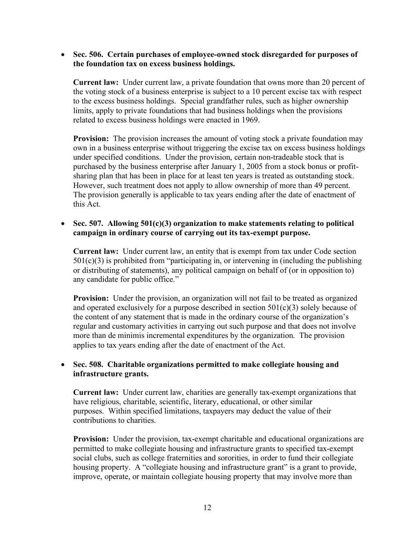• **Sec. 506. Certain purchases of employee-owned stock disregarded for purposes of the foundation tax on excess business holdings.**

**Current law:** Under current law, a private foundation that owns more than 20 percent of the voting stock of a business enterprise is subject to a 10 percent excise tax with respect to the excess business holdings. Special grandfather rules, such as higher ownership limits, apply to private foundations that had business holdings when the provisions related to excess business holdings were enacted in 1969.

**Provision:** The provision increases the amount of voting stock a private foundation may own in a business enterprise without triggering the excise tax on excess business holdings under specified conditions. Under the provision, certain non-tradeable stock that is purchased by the business enterprise after January 1, 2005 from a stock bonus or profitsharing plan that has been in place for at least ten years is treated as outstanding stock. However, such treatment does not apply to allow ownership of more than 49 percent. The provision generally is applicable to tax years ending after the date of enactment of this Act.

## • **Sec. 507. Allowing 501(c)(3) organization to make statements relating to political campaign in ordinary course of carrying out its tax-exempt purpose.**

**Current law:** Under current law, an entity that is exempt from tax under Code section  $501(c)(3)$  is prohibited from "participating in, or intervening in (including the publishing or distributing of statements), any political campaign on behalf of (or in opposition to) any candidate for public office."

**Provision:** Under the provision, an organization will not fail to be treated as organized and operated exclusively for a purpose described in section  $501(c)(3)$  solely because of the content of any statement that is made in the ordinary course of the organization's regular and customary activities in carrying out such purpose and that does not involve more than de minimis incremental expenditures by the organization. The provision applies to tax years ending after the date of enactment of the Act.

## • **Sec. 508. Charitable organizations permitted to make collegiate housing and infrastructure grants.**

**Current law:** Under current law, charities are generally tax-exempt organizations that have religious, charitable, scientific, literary, educational, or other similar purposes. Within specified limitations, taxpayers may deduct the value of their contributions to charities.

**Provision:** Under the provision, tax-exempt charitable and educational organizations are permitted to make collegiate housing and infrastructure grants to specified tax-exempt social clubs, such as college fraternities and sororities, in order to fund their collegiate housing property. A "collegiate housing and infrastructure grant" is a grant to provide. improve, operate, or maintain collegiate housing property that may involve more than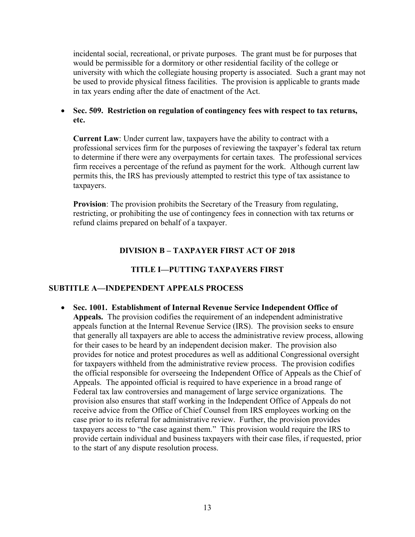incidental social, recreational, or private purposes. The grant must be for purposes that would be permissible for a dormitory or other residential facility of the college or university with which the collegiate housing property is associated. Such a grant may not be used to provide physical fitness facilities. The provision is applicable to grants made in tax years ending after the date of enactment of the Act.

• **Sec. 509. Restriction on regulation of contingency fees with respect to tax returns, etc.**

**Current Law**: Under current law, taxpayers have the ability to contract with a professional services firm for the purposes of reviewing the taxpayer's federal tax return to determine if there were any overpayments for certain taxes. The professional services firm receives a percentage of the refund as payment for the work. Although current law permits this, the IRS has previously attempted to restrict this type of tax assistance to taxpayers.

**Provision**: The provision prohibits the Secretary of the Treasury from regulating, restricting, or prohibiting the use of contingency fees in connection with tax returns or refund claims prepared on behalf of a taxpayer.

## **DIVISION B – TAXPAYER FIRST ACT OF 2018**

## **TITLE I—PUTTING TAXPAYERS FIRST**

#### **SUBTITLE A—INDEPENDENT APPEALS PROCESS**

• **Sec. 1001. Establishment of Internal Revenue Service Independent Office of Appeals.** The provision codifies the requirement of an independent administrative appeals function at the Internal Revenue Service (IRS). The provision seeks to ensure that generally all taxpayers are able to access the administrative review process, allowing for their cases to be heard by an independent decision maker. The provision also provides for notice and protest procedures as well as additional Congressional oversight for taxpayers withheld from the administrative review process. The provision codifies the official responsible for overseeing the Independent Office of Appeals as the Chief of Appeals. The appointed official is required to have experience in a broad range of Federal tax law controversies and management of large service organizations. The provision also ensures that staff working in the Independent Office of Appeals do not receive advice from the Office of Chief Counsel from IRS employees working on the case prior to its referral for administrative review. Further, the provision provides taxpayers access to "the case against them." This provision would require the IRS to provide certain individual and business taxpayers with their case files, if requested, prior to the start of any dispute resolution process.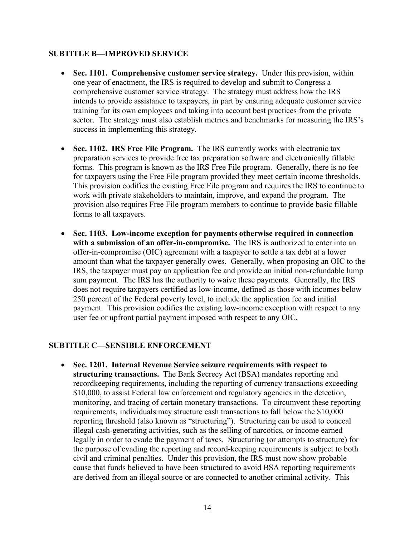## **SUBTITLE B—IMPROVED SERVICE**

- **Sec. 1101. Comprehensive customer service strategy.** Under this provision, within one year of enactment, the IRS is required to develop and submit to Congress a comprehensive customer service strategy. The strategy must address how the IRS intends to provide assistance to taxpayers, in part by ensuring adequate customer service training for its own employees and taking into account best practices from the private sector. The strategy must also establish metrics and benchmarks for measuring the IRS's success in implementing this strategy.
- **Sec. 1102. IRS Free File Program.** The IRS currently works with electronic tax preparation services to provide free tax preparation software and electronically fillable forms. This program is known as the IRS Free File program. Generally, there is no fee for taxpayers using the Free File program provided they meet certain income thresholds. This provision codifies the existing Free File program and requires the IRS to continue to work with private stakeholders to maintain, improve, and expand the program. The provision also requires Free File program members to continue to provide basic fillable forms to all taxpayers.
- **Sec. 1103. Low-income exception for payments otherwise required in connection with a submission of an offer-in-compromise.** The IRS is authorized to enter into an offer-in-compromise (OIC) agreement with a taxpayer to settle a tax debt at a lower amount than what the taxpayer generally owes. Generally, when proposing an OIC to the IRS, the taxpayer must pay an application fee and provide an initial non-refundable lump sum payment. The IRS has the authority to waive these payments. Generally, the IRS does not require taxpayers certified as low-income, defined as those with incomes below 250 percent of the Federal poverty level, to include the application fee and initial payment. This provision codifies the existing low-income exception with respect to any user fee or upfront partial payment imposed with respect to any OIC.

## **SUBTITLE C—SENSIBLE ENFORCEMENT**

• **Sec. 1201. Internal Revenue Service seizure requirements with respect to structuring transactions.** The Bank Secrecy Act (BSA) mandates reporting and recordkeeping requirements, including the reporting of currency transactions exceeding \$10,000, to assist Federal law enforcement and regulatory agencies in the detection, monitoring, and tracing of certain monetary transactions. To circumvent these reporting requirements, individuals may structure cash transactions to fall below the \$10,000 reporting threshold (also known as "structuring"). Structuring can be used to conceal illegal cash-generating activities, such as the selling of narcotics, or income earned legally in order to evade the payment of taxes. Structuring (or attempts to structure) for the purpose of evading the reporting and record-keeping requirements is subject to both civil and criminal penalties. Under this provision, the IRS must now show probable cause that funds believed to have been structured to avoid BSA reporting requirements are derived from an illegal source or are connected to another criminal activity. This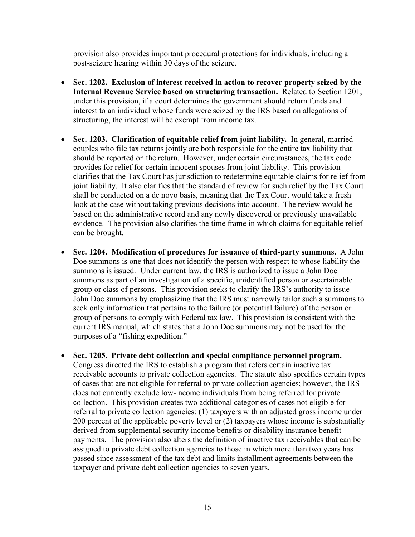provision also provides important procedural protections for individuals, including a post-seizure hearing within 30 days of the seizure.

- **Sec. 1202. Exclusion of interest received in action to recover property seized by the Internal Revenue Service based on structuring transaction.** Related to Section 1201, under this provision, if a court determines the government should return funds and interest to an individual whose funds were seized by the IRS based on allegations of structuring, the interest will be exempt from income tax.
- **Sec. 1203. Clarification of equitable relief from joint liability.** In general, married couples who file tax returns jointly are both responsible for the entire tax liability that should be reported on the return. However, under certain circumstances, the tax code provides for relief for certain innocent spouses from joint liability. This provision clarifies that the Tax Court has jurisdiction to redetermine equitable claims for relief from joint liability. It also clarifies that the standard of review for such relief by the Tax Court shall be conducted on a de novo basis, meaning that the Tax Court would take a fresh look at the case without taking previous decisions into account. The review would be based on the administrative record and any newly discovered or previously unavailable evidence. The provision also clarifies the time frame in which claims for equitable relief can be brought.
- **Sec. 1204. Modification of procedures for issuance of third-party summons.** A John Doe summons is one that does not identify the person with respect to whose liability the summons is issued. Under current law, the IRS is authorized to issue a John Doe summons as part of an investigation of a specific, unidentified person or ascertainable group or class of persons. This provision seeks to clarify the IRS's authority to issue John Doe summons by emphasizing that the IRS must narrowly tailor such a summons to seek only information that pertains to the failure (or potential failure) of the person or group of persons to comply with Federal tax law. This provision is consistent with the current IRS manual, which states that a John Doe summons may not be used for the purposes of a "fishing expedition."
- **Sec. 1205. Private debt collection and special compliance personnel program.**  Congress directed the IRS to establish a program that refers certain inactive tax receivable accounts to private collection agencies. The statute also specifies certain types of cases that are not eligible for referral to private collection agencies; however, the IRS does not currently exclude low-income individuals from being referred for private collection. This provision creates two additional categories of cases not eligible for referral to private collection agencies: (1) taxpayers with an adjusted gross income under 200 percent of the applicable poverty level or (2) taxpayers whose income is substantially derived from supplemental security income benefits or disability insurance benefit payments. The provision also alters the definition of inactive tax receivables that can be assigned to private debt collection agencies to those in which more than two years has passed since assessment of the tax debt and limits installment agreements between the taxpayer and private debt collection agencies to seven years.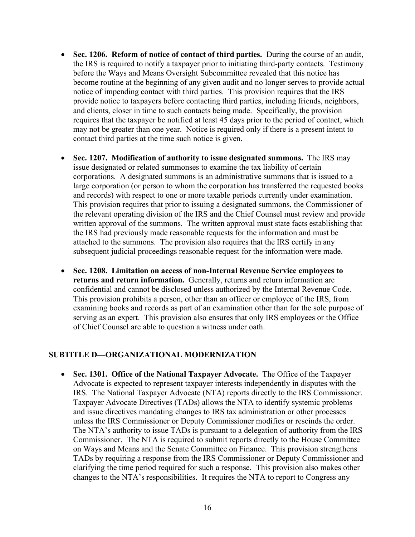- **Sec. 1206. Reform of notice of contact of third parties.** During the course of an audit, the IRS is required to notify a taxpayer prior to initiating third-party contacts. Testimony before the Ways and Means Oversight Subcommittee revealed that this notice has become routine at the beginning of any given audit and no longer serves to provide actual notice of impending contact with third parties. This provision requires that the IRS provide notice to taxpayers before contacting third parties, including friends, neighbors, and clients, closer in time to such contacts being made. Specifically, the provision requires that the taxpayer be notified at least 45 days prior to the period of contact, which may not be greater than one year. Notice is required only if there is a present intent to contact third parties at the time such notice is given.
- **Sec. 1207. Modification of authority to issue designated summons.** The IRS may issue designated or related summonses to examine the tax liability of certain corporations. A designated summons is an administrative summons that is issued to a large corporation (or person to whom the corporation has transferred the requested books and records) with respect to one or more taxable periods currently under examination. This provision requires that prior to issuing a designated summons, the Commissioner of the relevant operating division of the IRS and the Chief Counsel must review and provide written approval of the summons. The written approval must state facts establishing that the IRS had previously made reasonable requests for the information and must be attached to the summons. The provision also requires that the IRS certify in any subsequent judicial proceedings reasonable request for the information were made.
- **Sec. 1208. Limitation on access of non-Internal Revenue Service employees to returns and return information.** Generally, returns and return information are confidential and cannot be disclosed unless authorized by the Internal Revenue Code. This provision prohibits a person, other than an officer or employee of the IRS, from examining books and records as part of an examination other than for the sole purpose of serving as an expert. This provision also ensures that only IRS employees or the Office of Chief Counsel are able to question a witness under oath.

## **SUBTITLE D—ORGANIZATIONAL MODERNIZATION**

• **Sec. 1301. Office of the National Taxpayer Advocate.** The Office of the Taxpayer Advocate is expected to represent taxpayer interests independently in disputes with the IRS. The National Taxpayer Advocate (NTA) reports directly to the IRS Commissioner. Taxpayer Advocate Directives (TADs) allows the NTA to identify systemic problems and issue directives mandating changes to IRS tax administration or other processes unless the IRS Commissioner or Deputy Commissioner modifies or rescinds the order. The NTA's authority to issue TADs is pursuant to a delegation of authority from the IRS Commissioner. The NTA is required to submit reports directly to the House Committee on Ways and Means and the Senate Committee on Finance. This provision strengthens TADs by requiring a response from the IRS Commissioner or Deputy Commissioner and clarifying the time period required for such a response. This provision also makes other changes to the NTA's responsibilities. It requires the NTA to report to Congress any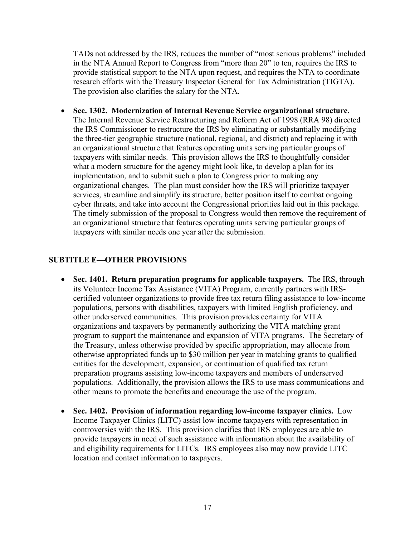TADs not addressed by the IRS, reduces the number of "most serious problems" included in the NTA Annual Report to Congress from "more than 20" to ten, requires the IRS to provide statistical support to the NTA upon request, and requires the NTA to coordinate research efforts with the Treasury Inspector General for Tax Administration (TIGTA). The provision also clarifies the salary for the NTA.

• **Sec. 1302. Modernization of Internal Revenue Service organizational structure.**  The Internal Revenue Service Restructuring and Reform Act of 1998 (RRA 98) directed the IRS Commissioner to restructure the IRS by eliminating or substantially modifying the three-tier geographic structure (national, regional, and district) and replacing it with an organizational structure that features operating units serving particular groups of taxpayers with similar needs. This provision allows the IRS to thoughtfully consider what a modern structure for the agency might look like, to develop a plan for its implementation, and to submit such a plan to Congress prior to making any organizational changes. The plan must consider how the IRS will prioritize taxpayer services, streamline and simplify its structure, better position itself to combat ongoing cyber threats, and take into account the Congressional priorities laid out in this package. The timely submission of the proposal to Congress would then remove the requirement of an organizational structure that features operating units serving particular groups of taxpayers with similar needs one year after the submission.

## **SUBTITLE E—OTHER PROVISIONS**

- **Sec. 1401. Return preparation programs for applicable taxpayers.** The IRS, through its Volunteer Income Tax Assistance (VITA) Program, currently partners with IRScertified volunteer organizations to provide free tax return filing assistance to low-income populations, persons with disabilities, taxpayers with limited English proficiency, and other underserved communities. This provision provides certainty for VITA organizations and taxpayers by permanently authorizing the VITA matching grant program to support the maintenance and expansion of VITA programs. The Secretary of the Treasury, unless otherwise provided by specific appropriation, may allocate from otherwise appropriated funds up to \$30 million per year in matching grants to qualified entities for the development, expansion, or continuation of qualified tax return preparation programs assisting low-income taxpayers and members of underserved populations. Additionally, the provision allows the IRS to use mass communications and other means to promote the benefits and encourage the use of the program.
- **Sec. 1402. Provision of information regarding low-income taxpayer clinics.** Low Income Taxpayer Clinics (LITC) assist low-income taxpayers with representation in controversies with the IRS. This provision clarifies that IRS employees are able to provide taxpayers in need of such assistance with information about the availability of and eligibility requirements for LITCs. IRS employees also may now provide LITC location and contact information to taxpayers.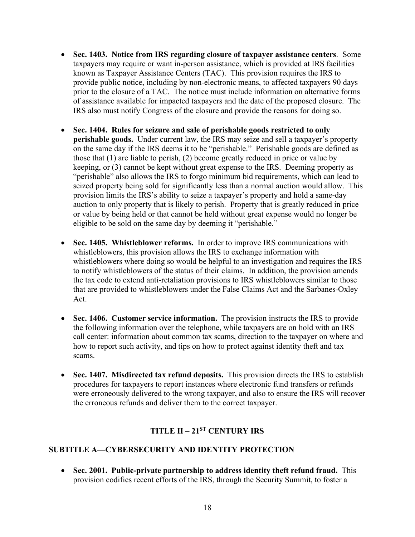- **Sec. 1403. Notice from IRS regarding closure of taxpayer assistance centers**. Some taxpayers may require or want in-person assistance, which is provided at IRS facilities known as Taxpayer Assistance Centers (TAC). This provision requires the IRS to provide public notice, including by non-electronic means, to affected taxpayers 90 days prior to the closure of a TAC. The notice must include information on alternative forms of assistance available for impacted taxpayers and the date of the proposed closure. The IRS also must notify Congress of the closure and provide the reasons for doing so.
- **Sec. 1404. Rules for seizure and sale of perishable goods restricted to only perishable goods.** Under current law, the IRS may seize and sell a taxpayer's property on the same day if the IRS deems it to be "perishable." Perishable goods are defined as those that (1) are liable to perish, (2) become greatly reduced in price or value by keeping, or (3) cannot be kept without great expense to the IRS. Deeming property as "perishable" also allows the IRS to forgo minimum bid requirements, which can lead to seized property being sold for significantly less than a normal auction would allow. This provision limits the IRS's ability to seize a taxpayer's property and hold a same-day auction to only property that is likely to perish. Property that is greatly reduced in price or value by being held or that cannot be held without great expense would no longer be eligible to be sold on the same day by deeming it "perishable."
- **Sec. 1405. Whistleblower reforms.** In order to improve IRS communications with whistleblowers, this provision allows the IRS to exchange information with whistleblowers where doing so would be helpful to an investigation and requires the IRS to notify whistleblowers of the status of their claims. In addition, the provision amends the tax code to extend anti-retaliation provisions to IRS whistleblowers similar to those that are provided to whistleblowers under the False Claims Act and the Sarbanes-Oxley Act.
- **Sec. 1406. Customer service information.** The provision instructs the IRS to provide the following information over the telephone, while taxpayers are on hold with an IRS call center: information about common tax scams, direction to the taxpayer on where and how to report such activity, and tips on how to protect against identity theft and tax scams.
- **Sec. 1407. Misdirected tax refund deposits.** This provision directs the IRS to establish procedures for taxpayers to report instances where electronic fund transfers or refunds were erroneously delivered to the wrong taxpayer, and also to ensure the IRS will recover the erroneous refunds and deliver them to the correct taxpayer.

# **TITLE II – 21ST CENTURY IRS**

# **SUBTITLE A—CYBERSECURITY AND IDENTITY PROTECTION**

• **Sec. 2001. Public-private partnership to address identity theft refund fraud.** This provision codifies recent efforts of the IRS, through the Security Summit, to foster a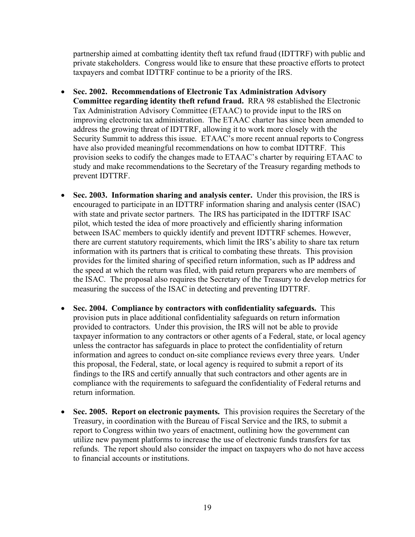partnership aimed at combatting identity theft tax refund fraud (IDTTRF) with public and private stakeholders. Congress would like to ensure that these proactive efforts to protect taxpayers and combat IDTTRF continue to be a priority of the IRS.

- **Sec. 2002. Recommendations of Electronic Tax Administration Advisory Committee regarding identity theft refund fraud.** RRA 98 established the Electronic Tax Administration Advisory Committee (ETAAC) to provide input to the IRS on improving electronic tax administration. The ETAAC charter has since been amended to address the growing threat of IDTTRF, allowing it to work more closely with the Security Summit to address this issue. ETAAC's more recent annual reports to Congress have also provided meaningful recommendations on how to combat IDTTRF. This provision seeks to codify the changes made to ETAAC's charter by requiring ETAAC to study and make recommendations to the Secretary of the Treasury regarding methods to prevent IDTTRF.
- **Sec. 2003. Information sharing and analysis center.** Under this provision, the IRS is encouraged to participate in an IDTTRF information sharing and analysis center (ISAC) with state and private sector partners. The IRS has participated in the IDTTRF ISAC pilot, which tested the idea of more proactively and efficiently sharing information between ISAC members to quickly identify and prevent IDTTRF schemes. However, there are current statutory requirements, which limit the IRS's ability to share tax return information with its partners that is critical to combating these threats. This provision provides for the limited sharing of specified return information, such as IP address and the speed at which the return was filed, with paid return preparers who are members of the ISAC. The proposal also requires the Secretary of the Treasury to develop metrics for measuring the success of the ISAC in detecting and preventing IDTTRF.
- **Sec. 2004. Compliance by contractors with confidentiality safeguards.** This provision puts in place additional confidentiality safeguards on return information provided to contractors. Under this provision, the IRS will not be able to provide taxpayer information to any contractors or other agents of a Federal, state, or local agency unless the contractor has safeguards in place to protect the confidentiality of return information and agrees to conduct on-site compliance reviews every three years. Under this proposal, the Federal, state, or local agency is required to submit a report of its findings to the IRS and certify annually that such contractors and other agents are in compliance with the requirements to safeguard the confidentiality of Federal returns and return information.
- **Sec. 2005. Report on electronic payments.** This provision requires the Secretary of the Treasury, in coordination with the Bureau of Fiscal Service and the IRS, to submit a report to Congress within two years of enactment, outlining how the government can utilize new payment platforms to increase the use of electronic funds transfers for tax refunds. The report should also consider the impact on taxpayers who do not have access to financial accounts or institutions.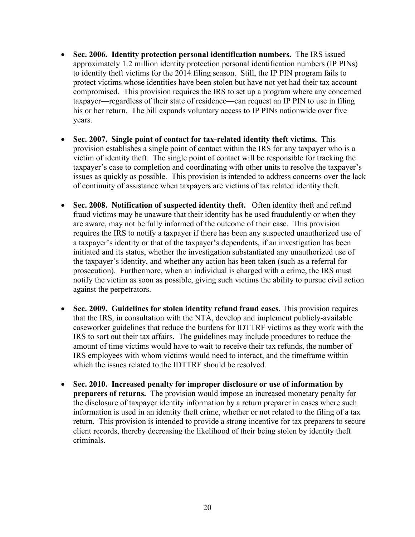- **Sec. 2006. Identity protection personal identification numbers.** The IRS issued approximately 1.2 million identity protection personal identification numbers (IP PINs) to identity theft victims for the 2014 filing season. Still, the IP PIN program fails to protect victims whose identities have been stolen but have not yet had their tax account compromised. This provision requires the IRS to set up a program where any concerned taxpayer—regardless of their state of residence—can request an IP PIN to use in filing his or her return. The bill expands voluntary access to IP PINs nationwide over five years.
- **Sec. 2007. Single point of contact for tax-related identity theft victims.** This provision establishes a single point of contact within the IRS for any taxpayer who is a victim of identity theft. The single point of contact will be responsible for tracking the taxpayer's case to completion and coordinating with other units to resolve the taxpayer's issues as quickly as possible. This provision is intended to address concerns over the lack of continuity of assistance when taxpayers are victims of tax related identity theft.
- **Sec. 2008. Notification of suspected identity theft.** Often identity theft and refund fraud victims may be unaware that their identity has be used fraudulently or when they are aware, may not be fully informed of the outcome of their case. This provision requires the IRS to notify a taxpayer if there has been any suspected unauthorized use of a taxpayer's identity or that of the taxpayer's dependents, if an investigation has been initiated and its status, whether the investigation substantiated any unauthorized use of the taxpayer's identity, and whether any action has been taken (such as a referral for prosecution). Furthermore, when an individual is charged with a crime, the IRS must notify the victim as soon as possible, giving such victims the ability to pursue civil action against the perpetrators.
- **Sec. 2009. Guidelines for stolen identity refund fraud cases.** This provision requires that the IRS, in consultation with the NTA, develop and implement publicly-available caseworker guidelines that reduce the burdens for IDTTRF victims as they work with the IRS to sort out their tax affairs. The guidelines may include procedures to reduce the amount of time victims would have to wait to receive their tax refunds, the number of IRS employees with whom victims would need to interact, and the timeframe within which the issues related to the IDTTRF should be resolved.
- **Sec. 2010. Increased penalty for improper disclosure or use of information by preparers of returns.** The provision would impose an increased monetary penalty for the disclosure of taxpayer identity information by a return preparer in cases where such information is used in an identity theft crime, whether or not related to the filing of a tax return. This provision is intended to provide a strong incentive for tax preparers to secure client records, thereby decreasing the likelihood of their being stolen by identity theft criminals.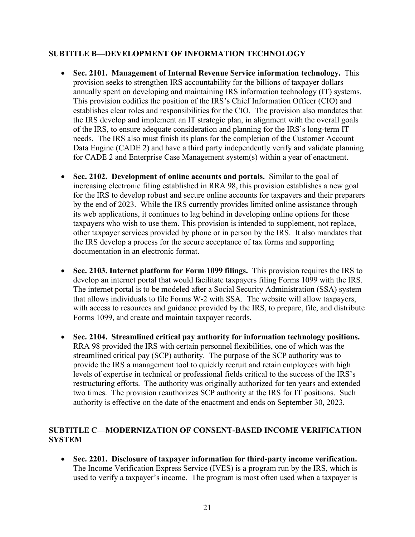## **SUBTITLE B—DEVELOPMENT OF INFORMATION TECHNOLOGY**

- **Sec. 2101. Management of Internal Revenue Service information technology.** This provision seeks to strengthen IRS accountability for the billions of taxpayer dollars annually spent on developing and maintaining IRS information technology (IT) systems. This provision codifies the position of the IRS's Chief Information Officer (CIO) and establishes clear roles and responsibilities for the CIO. The provision also mandates that the IRS develop and implement an IT strategic plan, in alignment with the overall goals of the IRS, to ensure adequate consideration and planning for the IRS's long-term IT needs. The IRS also must finish its plans for the completion of the Customer Account Data Engine (CADE 2) and have a third party independently verify and validate planning for CADE 2 and Enterprise Case Management system(s) within a year of enactment.
- **Sec. 2102. Development of online accounts and portals.** Similar to the goal of increasing electronic filing established in RRA 98, this provision establishes a new goal for the IRS to develop robust and secure online accounts for taxpayers and their preparers by the end of 2023. While the IRS currently provides limited online assistance through its web applications, it continues to lag behind in developing online options for those taxpayers who wish to use them. This provision is intended to supplement, not replace, other taxpayer services provided by phone or in person by the IRS. It also mandates that the IRS develop a process for the secure acceptance of tax forms and supporting documentation in an electronic format.
- **Sec. 2103. Internet platform for Form 1099 filings.** This provision requires the IRS to develop an internet portal that would facilitate taxpayers filing Forms 1099 with the IRS. The internet portal is to be modeled after a Social Security Administration (SSA) system that allows individuals to file Forms W-2 with SSA. The website will allow taxpayers, with access to resources and guidance provided by the IRS, to prepare, file, and distribute Forms 1099, and create and maintain taxpayer records.
- **Sec. 2104. Streamlined critical pay authority for information technology positions.**  RRA 98 provided the IRS with certain personnel flexibilities, one of which was the streamlined critical pay (SCP) authority. The purpose of the SCP authority was to provide the IRS a management tool to quickly recruit and retain employees with high levels of expertise in technical or professional fields critical to the success of the IRS's restructuring efforts. The authority was originally authorized for ten years and extended two times. The provision reauthorizes SCP authority at the IRS for IT positions. Such authority is effective on the date of the enactment and ends on September 30, 2023.

## **SUBTITLE C—MODERNIZATION OF CONSENT-BASED INCOME VERIFICATION SYSTEM**

• **Sec. 2201. Disclosure of taxpayer information for third-party income verification.**  The Income Verification Express Service (IVES) is a program run by the IRS, which is used to verify a taxpayer's income. The program is most often used when a taxpayer is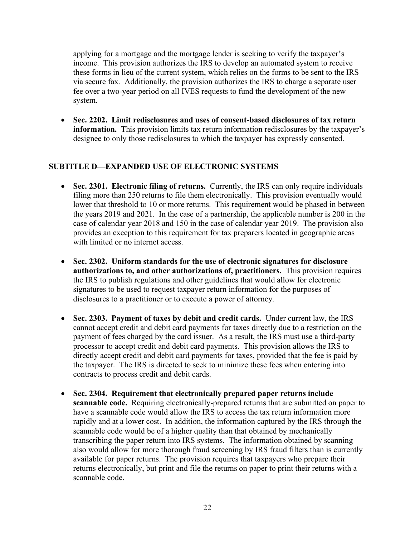applying for a mortgage and the mortgage lender is seeking to verify the taxpayer's income. This provision authorizes the IRS to develop an automated system to receive these forms in lieu of the current system, which relies on the forms to be sent to the IRS via secure fax. Additionally, the provision authorizes the IRS to charge a separate user fee over a two-year period on all IVES requests to fund the development of the new system.

• **Sec. 2202. Limit redisclosures and uses of consent-based disclosures of tax return information.** This provision limits tax return information redisclosures by the taxpayer's designee to only those redisclosures to which the taxpayer has expressly consented.

## **SUBTITLE D—EXPANDED USE OF ELECTRONIC SYSTEMS**

- **Sec. 2301. Electronic filing of returns.** Currently, the IRS can only require individuals filing more than 250 returns to file them electronically. This provision eventually would lower that threshold to 10 or more returns. This requirement would be phased in between the years 2019 and 2021. In the case of a partnership, the applicable number is 200 in the case of calendar year 2018 and 150 in the case of calendar year 2019. The provision also provides an exception to this requirement for tax preparers located in geographic areas with limited or no internet access.
- **Sec. 2302. Uniform standards for the use of electronic signatures for disclosure authorizations to, and other authorizations of, practitioners.** This provision requires the IRS to publish regulations and other guidelines that would allow for electronic signatures to be used to request taxpayer return information for the purposes of disclosures to a practitioner or to execute a power of attorney.
- **Sec. 2303. Payment of taxes by debit and credit cards.** Under current law, the IRS cannot accept credit and debit card payments for taxes directly due to a restriction on the payment of fees charged by the card issuer. As a result, the IRS must use a third-party processor to accept credit and debit card payments. This provision allows the IRS to directly accept credit and debit card payments for taxes, provided that the fee is paid by the taxpayer. The IRS is directed to seek to minimize these fees when entering into contracts to process credit and debit cards.
- **Sec. 2304. Requirement that electronically prepared paper returns include scannable code.** Requiring electronically-prepared returns that are submitted on paper to have a scannable code would allow the IRS to access the tax return information more rapidly and at a lower cost. In addition, the information captured by the IRS through the scannable code would be of a higher quality than that obtained by mechanically transcribing the paper return into IRS systems. The information obtained by scanning also would allow for more thorough fraud screening by IRS fraud filters than is currently available for paper returns. The provision requires that taxpayers who prepare their returns electronically, but print and file the returns on paper to print their returns with a scannable code.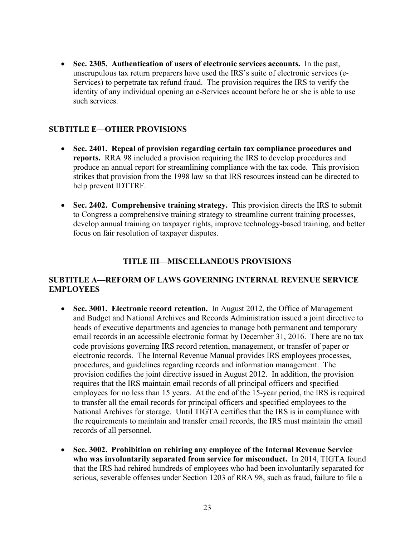• **Sec. 2305. Authentication of users of electronic services accounts.** In the past, unscrupulous tax return preparers have used the IRS's suite of electronic services (e-Services) to perpetrate tax refund fraud. The provision requires the IRS to verify the identity of any individual opening an e-Services account before he or she is able to use such services.

## **SUBTITLE E—OTHER PROVISIONS**

- **Sec. 2401. Repeal of provision regarding certain tax compliance procedures and reports.** RRA 98 included a provision requiring the IRS to develop procedures and produce an annual report for streamlining compliance with the tax code. This provision strikes that provision from the 1998 law so that IRS resources instead can be directed to help prevent IDTTRF.
- **Sec. 2402. Comprehensive training strategy.** This provision directs the IRS to submit to Congress a comprehensive training strategy to streamline current training processes, develop annual training on taxpayer rights, improve technology-based training, and better focus on fair resolution of taxpayer disputes.

## **TITLE III—MISCELLANEOUS PROVISIONS**

## **SUBTITLE A—REFORM OF LAWS GOVERNING INTERNAL REVENUE SERVICE EMPLOYEES**

- **Sec. 3001. Electronic record retention.** In August 2012, the Office of Management and Budget and National Archives and Records Administration issued a joint directive to heads of executive departments and agencies to manage both permanent and temporary email records in an accessible electronic format by December 31, 2016. There are no tax code provisions governing IRS record retention, management, or transfer of paper or electronic records. The Internal Revenue Manual provides IRS employees processes, procedures, and guidelines regarding records and information management. The provision codifies the joint directive issued in August 2012. In addition, the provision requires that the IRS maintain email records of all principal officers and specified employees for no less than 15 years. At the end of the 15-year period, the IRS is required to transfer all the email records for principal officers and specified employees to the National Archives for storage. Until TIGTA certifies that the IRS is in compliance with the requirements to maintain and transfer email records, the IRS must maintain the email records of all personnel.
- **Sec. 3002. Prohibition on rehiring any employee of the Internal Revenue Service who was involuntarily separated from service for misconduct.** In 2014, TIGTA found that the IRS had rehired hundreds of employees who had been involuntarily separated for serious, severable offenses under Section 1203 of RRA 98, such as fraud, failure to file a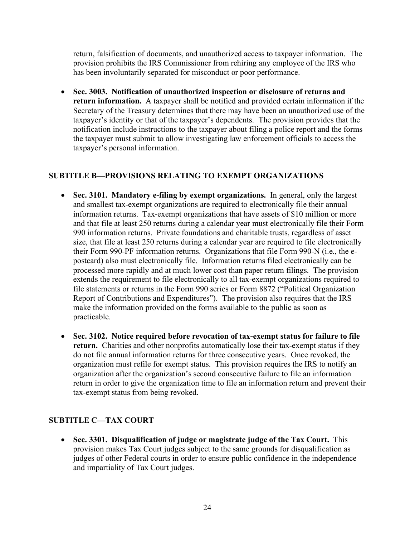return, falsification of documents, and unauthorized access to taxpayer information. The provision prohibits the IRS Commissioner from rehiring any employee of the IRS who has been involuntarily separated for misconduct or poor performance.

• **Sec. 3003. Notification of unauthorized inspection or disclosure of returns and return information.** A taxpayer shall be notified and provided certain information if the Secretary of the Treasury determines that there may have been an unauthorized use of the taxpayer's identity or that of the taxpayer's dependents. The provision provides that the notification include instructions to the taxpayer about filing a police report and the forms the taxpayer must submit to allow investigating law enforcement officials to access the taxpayer's personal information.

# **SUBTITLE B—PROVISIONS RELATING TO EXEMPT ORGANIZATIONS**

- **Sec. 3101. Mandatory e-filing by exempt organizations.** In general, only the largest and smallest tax-exempt organizations are required to electronically file their annual information returns. Tax-exempt organizations that have assets of \$10 million or more and that file at least 250 returns during a calendar year must electronically file their Form 990 information returns. Private foundations and charitable trusts, regardless of asset size, that file at least 250 returns during a calendar year are required to file electronically their Form 990-PF information returns. Organizations that file Form 990-N (i.e., the epostcard) also must electronically file. Information returns filed electronically can be processed more rapidly and at much lower cost than paper return filings. The provision extends the requirement to file electronically to all tax-exempt organizations required to file statements or returns in the Form 990 series or Form 8872 ("Political Organization Report of Contributions and Expenditures"). The provision also requires that the IRS make the information provided on the forms available to the public as soon as practicable.
- **Sec. 3102. Notice required before revocation of tax-exempt status for failure to file return.** Charities and other nonprofits automatically lose their tax-exempt status if they do not file annual information returns for three consecutive years. Once revoked, the organization must refile for exempt status. This provision requires the IRS to notify an organization after the organization's second consecutive failure to file an information return in order to give the organization time to file an information return and prevent their tax-exempt status from being revoked.

# **SUBTITLE C—TAX COURT**

• **Sec. 3301. Disqualification of judge or magistrate judge of the Tax Court.** This provision makes Tax Court judges subject to the same grounds for disqualification as judges of other Federal courts in order to ensure public confidence in the independence and impartiality of Tax Court judges.